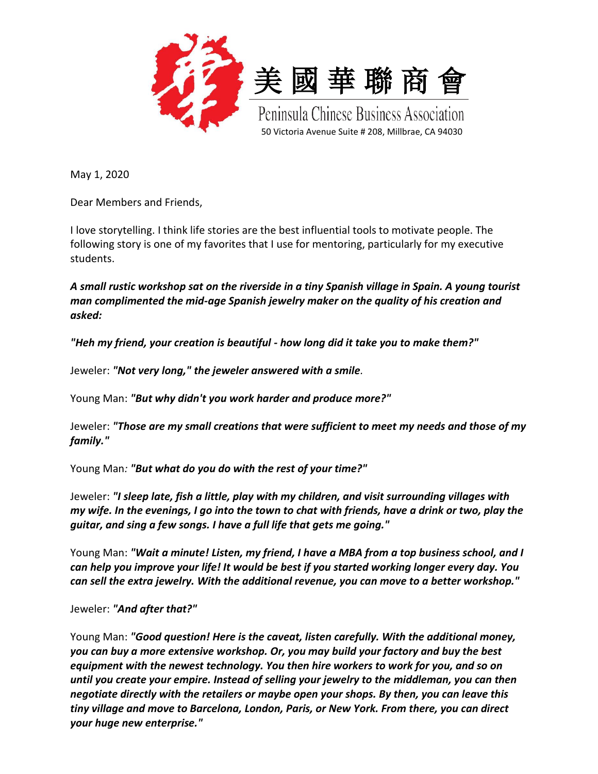

May 1, 2020

Dear Members and Friends,

I love storytelling. I think life stories are the best influential tools to motivate people. The following story is one of my favorites that I use for mentoring, particularly for my executive students.

*A small rustic workshop sat on the riverside in a tiny Spanish village in Spain. A young tourist man complimented the mid-age Spanish jewelry maker on the quality of his creation and asked:*

*"Heh my friend, your creation is beautiful - how long did it take you to make them?"*

Jeweler: *"Not very long," the jeweler answered with a smile.*

Young Man: *"But why didn't you work harder and produce more?"*

Jeweler: *"Those are my small creations that were sufficient to meet my needs and those of my family."*

Young Man*: "But what do you do with the rest of your time?"*

Jeweler: *"I sleep late, fish a little, play with my children, and visit surrounding villages with my wife. In the evenings, I go into the town to chat with friends, have a drink or two, play the guitar, and sing a few songs. I have a full life that gets me going."*

Young Man: *"Wait a minute! Listen, my friend, I have a MBA from a top business school, and I can help you improve your life! It would be best if you started working longer every day. You can sell the extra jewelry. With the additional revenue, you can move to a better workshop."*

Jeweler: *"And after that?"*

Young Man: *"Good question! Here is the caveat, listen carefully. With the additional money, you can buy a more extensive workshop. Or, you may build your factory and buy the best equipment with the newest technology. You then hire workers to work for you, and so on until you create your empire. Instead of selling your jewelry to the middleman, you can then negotiate directly with the retailers or maybe open your shops. By then, you can leave this tiny village and move to Barcelona, London, Paris, or New York. From there, you can direct your huge new enterprise."*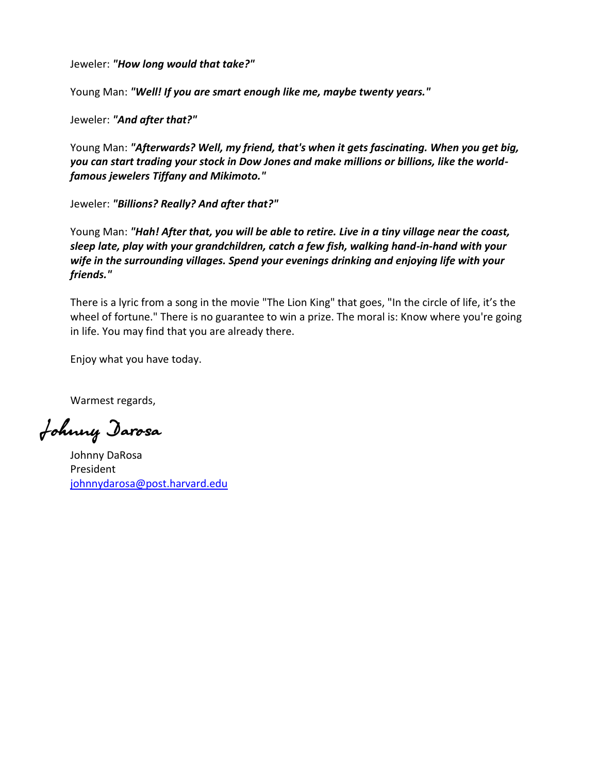Jeweler: *"How long would that take?"*

Young Man: *"Well! If you are smart enough like me, maybe twenty years."*

Jeweler: *"And after that?"*

Young Man: *"Afterwards? Well, my friend, that's when it gets fascinating. When you get big, you can start trading your stock in Dow Jones and make millions or billions, like the worldfamous jewelers Tiffany and Mikimoto."*

Jeweler: *"Billions? Really? And after that?"*

Young Man: *"Hah! After that, you will be able to retire. Live in a tiny village near the coast, sleep late, play with your grandchildren, catch a few fish, walking hand-in-hand with your wife in the surrounding villages. Spend your evenings drinking and enjoying life with your friends."*

There is a lyric from a song in the movie "The Lion King" that goes, "In the circle of life, it's the wheel of fortune." There is no guarantee to win a prize. The moral is: Know where you're going in life. You may find that you are already there.

Enjoy what you have today.

Warmest regards,

Johnny Darosa

Johnny DaRosa President [johnnydarosa@post.harvard.edu](mailto:johnnydarosa@post.harvard.edu)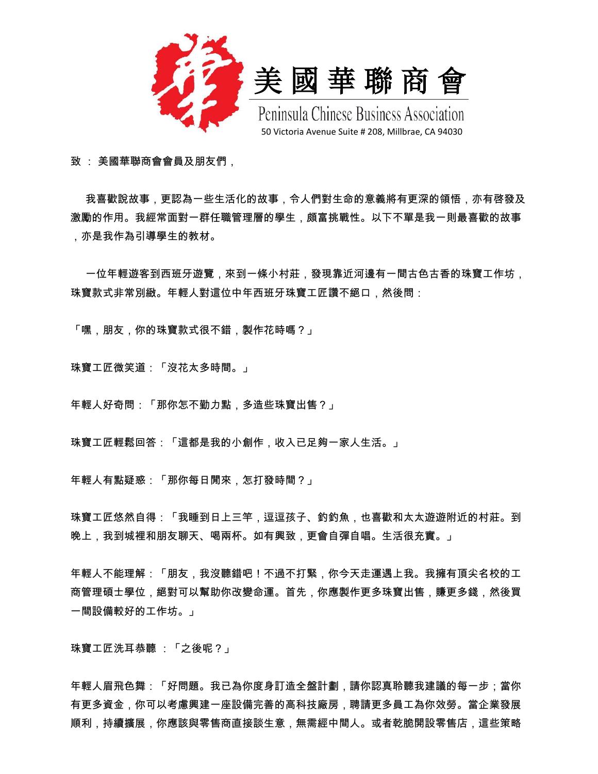



Peninsula Chinese Business Association 50 Victoria Avenue Suite # 208, Millbrae, CA 94030

致 : 美國華聯商會會員及朋友們,

 我喜歡說故事,更認為一些生活化的故事,令人們對生命的意義將有更深的領悟,亦有啓發及 激勵的作用。我經常面對一群任職管理層的學生,頗富挑戰性。以下不單是我一則最喜歡的故事 ,亦是我作為引導學生的教材。

 一位年輕遊客到西班牙遊覽,來到一條小村莊,發現靠近河邊有一間古色古香的珠寶工作坊, 珠寶款式非常別緻。年輕人對這位中年西班牙珠寶工匠讚不絕口,然後問:

「嘿,朋友,你的珠寶款式很不錯,製作花時嗎?」

珠寶工匠微笑道:「沒花太多時間。」

年輕人好奇問:「那你怎不勤力點,多造些珠寶出售?」

珠寶工匠輕鬆回答:「這都是我的小創作,收入已足夠一家人生活。」

年輕人有點疑惑:「那你每日閒來,怎打發時間?」

珠寶工匠悠然自得:「我睡到日上三竿,逗逗孩子、釣釣魚,也喜歡和太太遊遊附近的村莊。到 晚上,我到城裡和朋友聊天、喝兩杯。如有興致,更會自彈自唱。生活很充實。」

年輕人不能理解:「朋友,我沒聽錯吧!不過不打緊,你今天走運遇上我。我擁有頂尖名校的工 商管理碩士學位,絕對可以幫助你改變命運。首先,你應製作更多珠寶出售,賺更多錢,然後買 一間設備較好的工作坊。」

珠寶工匠洗耳恭聽 :「之後呢?」

年輕人眉飛色舞:「好問題。我已為你度身訂造全盤計劃,請你認真聆聽我建議的每一步;當你 有更多資金,你可以考慮興建一座設備完善的高科技廠房,聘請更多員工為你效勞。當企業發展 順利,持續擴展,你應該與零售商直接談生意,無需經中間人。或者乾脆開設零售店,這些策略